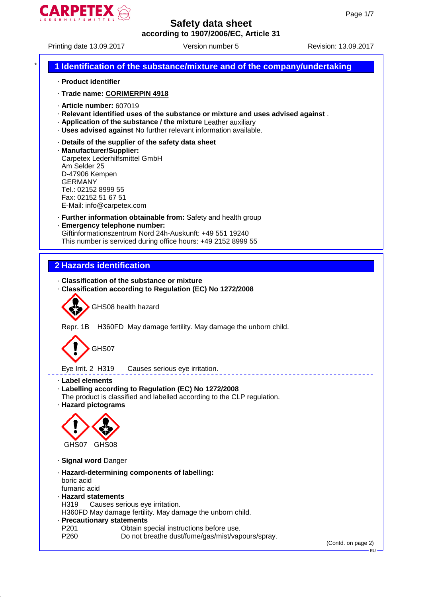

Printing date 13.09.2017 Version number 5 Revision: 13.09.2017

# \* **1 Identification of the substance/mixture and of the company/undertaking** · **Product identifier** · **Trade name: CORIMERPIN 4918** · **Article number:** 607019 · **Relevant identified uses of the substance or mixture and uses advised against** . · **Application of the substance / the mixture** Leather auxiliary · **Uses advised against** No further relevant information available. · **Details of the supplier of the safety data sheet** · **Manufacturer/Supplier:** Carpetex Lederhilfsmittel GmbH Am Selder 25 D-47906 Kempen GERMANY Tel.: 02152 8999 55 Fax: 02152 51 67 51 E-Mail: info@carpetex.com · **Further information obtainable from:** Safety and health group · **Emergency telephone number:** Giftinformationszentrum Nord 24h-Auskunft: +49 551 19240 This number is serviced during office hours: +49 2152 8999 55 **2 Hazards identification** · **Classification of the substance or mixture** · **Classification according to Regulation (EC) No 1272/2008** GHS08 health hazard Repr. 1B H360FD May damage fertility. May damage the unborn child. GHS07 Eye Irrit. 2 H319 Causes serious eye irritation. · **Label elements** · **Labelling according to Regulation (EC) No 1272/2008** The product is classified and labelled according to the CLP regulation. · **Hazard pictograms** GHS07 GHS08 · **Signal word** Danger · **Hazard-determining components of labelling:** boric acid fumaric acid · **Hazard statements** H319 Causes serious eye irritation. H360FD May damage fertility. May damage the unborn child. · **Precautionary statements** Obtain special instructions before use. P260 Do not breathe dust/fume/gas/mist/vapours/spray. (Contd. on page 2) EU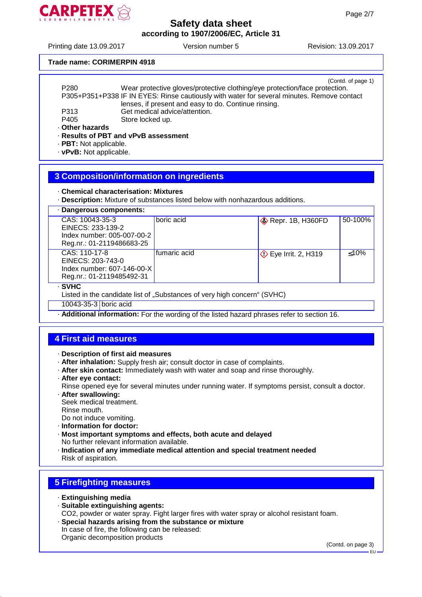

Printing date 13.09.2017 Version number 5 Revision: 13.09.2017

#### **Trade name: CORIMERPIN 4918**

|                  | (Contd. of page 1)                                                                         |
|------------------|--------------------------------------------------------------------------------------------|
| P <sub>280</sub> | Wear protective gloves/protective clothing/eye protection/face protection.                 |
|                  | P305+P351+P338 IF IN EYES: Rinse cautiously with water for several minutes. Remove contact |
|                  | lenses, if present and easy to do. Continue rinsing.                                       |
| P313             | Get medical advice/attention.                                                              |
| P405             | Store locked up.                                                                           |
| Other hazards    |                                                                                            |
|                  | · Results of PBT and vPvB assessment                                                       |
|                  |                                                                                            |

· **PBT:** Not applicable.

· **vPvB:** Not applicable.

#### **3 Composition/information on ingredients**

· **Chemical characterisation: Mixtures**

· **Description:** Mixture of substances listed below with nonhazardous additions.

| · Dangerous components:                                                                         |              |                             |         |  |
|-------------------------------------------------------------------------------------------------|--------------|-----------------------------|---------|--|
| CAS: 10043-35-3<br>EINECS: 233-139-2<br>Index number: 005-007-00-2<br>Reg.nr.: 01-2119486683-25 | boric acid   | $\diamond$ Repr. 1B, H360FD | 50-100% |  |
| CAS: 110-17-8<br>EINECS: 203-743-0<br>Index number: 607-146-00-X<br>Reg.nr.: 01-2119485492-31   | fumaric acid | <b>◯</b> Eye Irrit. 2, H319 | < 10%   |  |
| · SVHC<br>Listed in the candidate list of "Substances of very high concern" (SVHC)              |              |                             |         |  |

10043-35-3 boric acid

· **Additional information:** For the wording of the listed hazard phrases refer to section 16.

### **4 First aid measures**

· **Description of first aid measures**

- · **After inhalation:** Supply fresh air; consult doctor in case of complaints.
- · **After skin contact:** Immediately wash with water and soap and rinse thoroughly.
- · **After eye contact:**

Rinse opened eye for several minutes under running water. If symptoms persist, consult a doctor.

· **After swallowing:**

Seek medical treatment.

Rinse mouth.

Do not induce vomiting.

- · **Information for doctor:**
- · **Most important symptoms and effects, both acute and delayed** No further relevant information available.
- · **Indication of any immediate medical attention and special treatment needed** Risk of aspiration.

### **5 Firefighting measures**

- · **Extinguishing media**
- · **Suitable extinguishing agents:** CO2, powder or water spray. Fight larger fires with water spray or alcohol resistant foam. · **Special hazards arising from the substance or mixture**
- In case of fire, the following can be released: Organic decomposition products

(Contd. on page 3)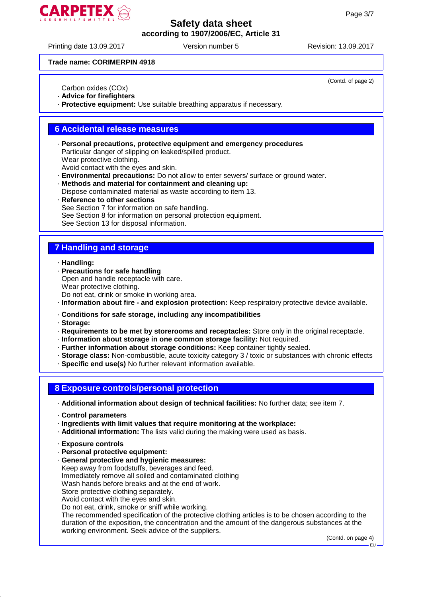

Printing date 13.09.2017 Version number 5 Revision: 13.09.2017

(Contd. of page 2)

#### **Trade name: CORIMERPIN 4918**

Carbon oxides (COx)

· **Advice for firefighters**

· **Protective equipment:** Use suitable breathing apparatus if necessary.

#### **6 Accidental release measures**

· **Personal precautions, protective equipment and emergency procedures** Particular danger of slipping on leaked/spilled product. Wear protective clothing.

Avoid contact with the eyes and skin.

- · **Environmental precautions:** Do not allow to enter sewers/ surface or ground water.
- · **Methods and material for containment and cleaning up:** Dispose contaminated material as waste according to item 13.
- **Reference to other sections** See Section 7 for information on safe handling. See Section 8 for information on personal protection equipment. See Section 13 for disposal information.

## **7 Handling and storage**

· **Handling:**

- · **Precautions for safe handling**
- Open and handle receptacle with care.
- Wear protective clothing.

Do not eat, drink or smoke in working area.

· **Information about fire - and explosion protection:** Keep respiratory protective device available.

· **Conditions for safe storage, including any incompatibilities**

· **Storage:**

· **Requirements to be met by storerooms and receptacles:** Store only in the original receptacle.

- · **Information about storage in one common storage facility:** Not required.
- · **Further information about storage conditions:** Keep container tightly sealed.
- · **Storage class:** Non-combustible, acute toxicity category 3 / toxic or substances with chronic effects
- · **Specific end use(s)** No further relevant information available.

### **8 Exposure controls/personal protection**

· **Additional information about design of technical facilities:** No further data; see item 7.

· **Control parameters**

· **Ingredients with limit values that require monitoring at the workplace:**

- · **Additional information:** The lists valid during the making were used as basis.
- · **Exposure controls**
- · **Personal protective equipment:**
- · **General protective and hygienic measures:**

Keep away from foodstuffs, beverages and feed.

Immediately remove all soiled and contaminated clothing

Wash hands before breaks and at the end of work.

Store protective clothing separately.

Avoid contact with the eyes and skin.

Do not eat, drink, smoke or sniff while working.

The recommended specification of the protective clothing articles is to be chosen according to the duration of the exposition, the concentration and the amount of the dangerous substances at the working environment. Seek advice of the suppliers.

(Contd. on page 4)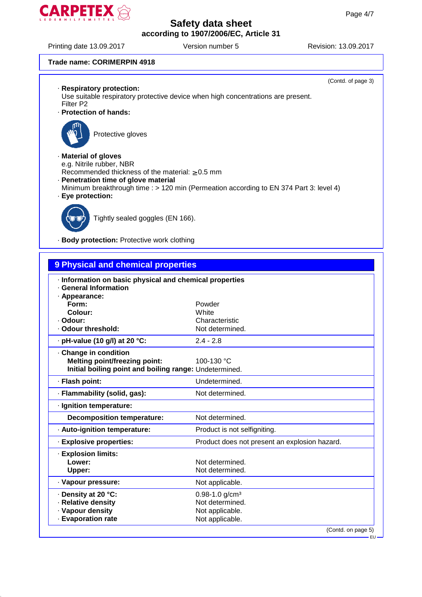

Printing date 13.09.2017 Version number 5 Revision: 13.09.2017

(Contd. of page 3)

#### **Trade name: CORIMERPIN 4918**

|  | · Respiratory protection: |
|--|---------------------------|
|  |                           |

Use suitable respiratory protective device when high concentrations are present. Filter P2

· **Protection of hands:**



Protective gloves

#### · **Material of gloves**

e.g. Nitrile rubber, NBR

- Recommended thickness of the material:  $\geq 0.5$  mm
- · **Penetration time of glove material**
- Minimum breakthrough time : > 120 min (Permeation according to EN 374 Part 3: level 4)
- · **Eye protection:**



Tightly sealed goggles (EN 166).

· **Body protection:** Protective work clothing

| 9 Physical and chemical properties                                                                                    |                                                                                         |  |
|-----------------------------------------------------------------------------------------------------------------------|-----------------------------------------------------------------------------------------|--|
| · Information on basic physical and chemical properties<br><b>General Information</b><br>· Appearance:                |                                                                                         |  |
| Form:                                                                                                                 | Powder                                                                                  |  |
| Colour:<br>· Odour:                                                                                                   | White<br>Characteristic                                                                 |  |
| · Odour threshold:                                                                                                    | Not determined.                                                                         |  |
| $\cdot$ pH-value (10 g/l) at 20 °C:                                                                                   | $2.4 - 2.8$                                                                             |  |
| Change in condition<br><b>Melting point/freezing point:</b><br>Initial boiling point and boiling range: Undetermined. | 100-130 °C                                                                              |  |
| · Flash point:                                                                                                        | Undetermined.                                                                           |  |
| · Flammability (solid, gas):                                                                                          | Not determined.                                                                         |  |
| · Ignition temperature:                                                                                               |                                                                                         |  |
| <b>Decomposition temperature:</b>                                                                                     | Not determined.                                                                         |  |
| · Auto-ignition temperature:                                                                                          | Product is not selfigniting.                                                            |  |
| · Explosive properties:                                                                                               | Product does not present an explosion hazard.                                           |  |
| · Explosion limits:<br>Lower:<br>Upper:                                                                               | Not determined.<br>Not determined.                                                      |  |
| · Vapour pressure:                                                                                                    | Not applicable.                                                                         |  |
| · Density at 20 °C:<br>· Relative density<br>· Vapour density<br>· Evaporation rate                                   | $0.98 - 1.0$ g/cm <sup>3</sup><br>Not determined.<br>Not applicable.<br>Not applicable. |  |
|                                                                                                                       | (Contd. on page 5)                                                                      |  |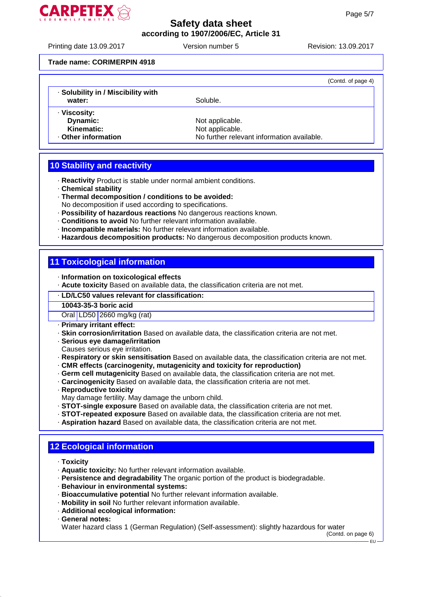

Printing date 13.09.2017 Version number 5 Revision: 13.09.2017

#### **Trade name: CORIMERPIN 4918**

|                                    |                                            | (Contd. of page 4) |
|------------------------------------|--------------------------------------------|--------------------|
| · Solubility in / Miscibility with |                                            |                    |
| water:                             | Soluble.                                   |                    |
| · Viscosity:                       |                                            |                    |
| Dynamic:                           | Not applicable.                            |                    |
| Kinematic:                         | Not applicable.                            |                    |
| Other information                  | No further relevant information available. |                    |

### **10 Stability and reactivity**

· **Reactivity** Product is stable under normal ambient conditions.

- · **Chemical stability**
- · **Thermal decomposition / conditions to be avoided:**
- No decomposition if used according to specifications.
- · **Possibility of hazardous reactions** No dangerous reactions known.
- · **Conditions to avoid** No further relevant information available.
- · **Incompatible materials:** No further relevant information available.
- · **Hazardous decomposition products:** No dangerous decomposition products known.

### **11 Toxicological information**

· **Information on toxicological effects**

· **Acute toxicity** Based on available data, the classification criteria are not met.

· **LD/LC50 values relevant for classification:**

#### **10043-35-3 boric acid**

Oral LD50 2660 mg/kg (rat)

- · **Primary irritant effect:**
- · **Skin corrosion/irritation** Based on available data, the classification criteria are not met.
- · **Serious eye damage/irritation**
- Causes serious eye irritation.
- · **Respiratory or skin sensitisation** Based on available data, the classification criteria are not met.
- · **CMR effects (carcinogenity, mutagenicity and toxicity for reproduction)**
- · **Germ cell mutagenicity** Based on available data, the classification criteria are not met.
- · **Carcinogenicity** Based on available data, the classification criteria are not met.
- · **Reproductive toxicity**
- May damage fertility. May damage the unborn child.
- · **STOT-single exposure** Based on available data, the classification criteria are not met.
- · **STOT-repeated exposure** Based on available data, the classification criteria are not met.
- · **Aspiration hazard** Based on available data, the classification criteria are not met.

### **12 Ecological information**

- · **Toxicity**
- · **Aquatic toxicity:** No further relevant information available.
- · **Persistence and degradability** The organic portion of the product is biodegradable.
- · **Behaviour in environmental systems:**
- · **Bioaccumulative potential** No further relevant information available.
- · **Mobility in soil** No further relevant information available.
- · **Additional ecological information:**
- · **General notes:**

Water hazard class 1 (German Regulation) (Self-assessment): slightly hazardous for water

(Contd. on page 6)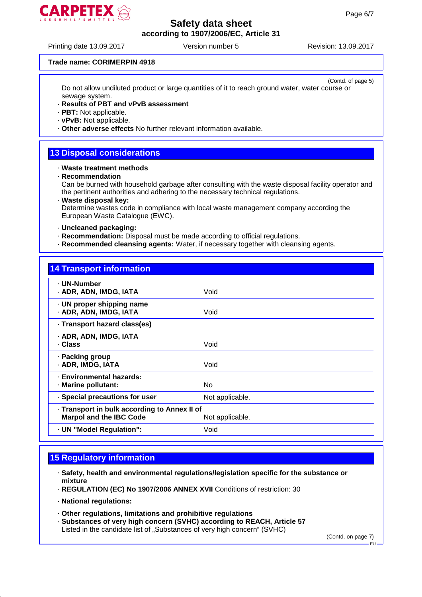

Printing date 13.09.2017 Version number 5 Revision: 13.09.2017

#### **Trade name: CORIMERPIN 4918**

(Contd. of page 5) Do not allow undiluted product or large quantities of it to reach ground water, water course or sewage system.

#### · **Results of PBT and vPvB assessment**

· **PBT:** Not applicable.

- · **vPvB:** Not applicable.
- · **Other adverse effects** No further relevant information available.

### **13 Disposal considerations**

#### · **Waste treatment methods**

· **Recommendation**

Can be burned with household garbage after consulting with the waste disposal facility operator and the pertinent authorities and adhering to the necessary technical regulations.

· **Waste disposal key:**

Determine wastes code in compliance with local waste management company according the European Waste Catalogue (EWC).

- · **Uncleaned packaging:**
- · **Recommendation:** Disposal must be made according to official regulations.
- · **Recommended cleansing agents:** Water, if necessary together with cleansing agents.

### **14 Transport information**

| · UN-Number<br>· ADR, ADN, IMDG, IATA                                          | Void            |
|--------------------------------------------------------------------------------|-----------------|
| · UN proper shipping name<br>· ADR, ADN, IMDG, IATA                            | Void            |
| · Transport hazard class(es)                                                   |                 |
| · ADR, ADN, IMDG, IATA<br>· Class                                              | Void            |
| · Packing group<br>· ADR, IMDG, IATA                                           | Void            |
| · Environmental hazards:<br>· Marine pollutant:                                | No.             |
| · Special precautions for user                                                 | Not applicable. |
| · Transport in bulk according to Annex II of<br><b>Marpol and the IBC Code</b> | Not applicable. |
| · UN "Model Regulation":                                                       | Void            |

### **15 Regulatory information**

- · **Safety, health and environmental regulations/legislation specific for the substance or mixture**
- · **REGULATION (EC) No 1907/2006 ANNEX XVII** Conditions of restriction: 30
- · **National regulations:**
- · **Other regulations, limitations and prohibitive regulations**
- · **Substances of very high concern (SVHC) according to REACH, Article 57** Listed in the candidate list of "Substances of very high concern" (SVHC)

(Contd. on page 7)